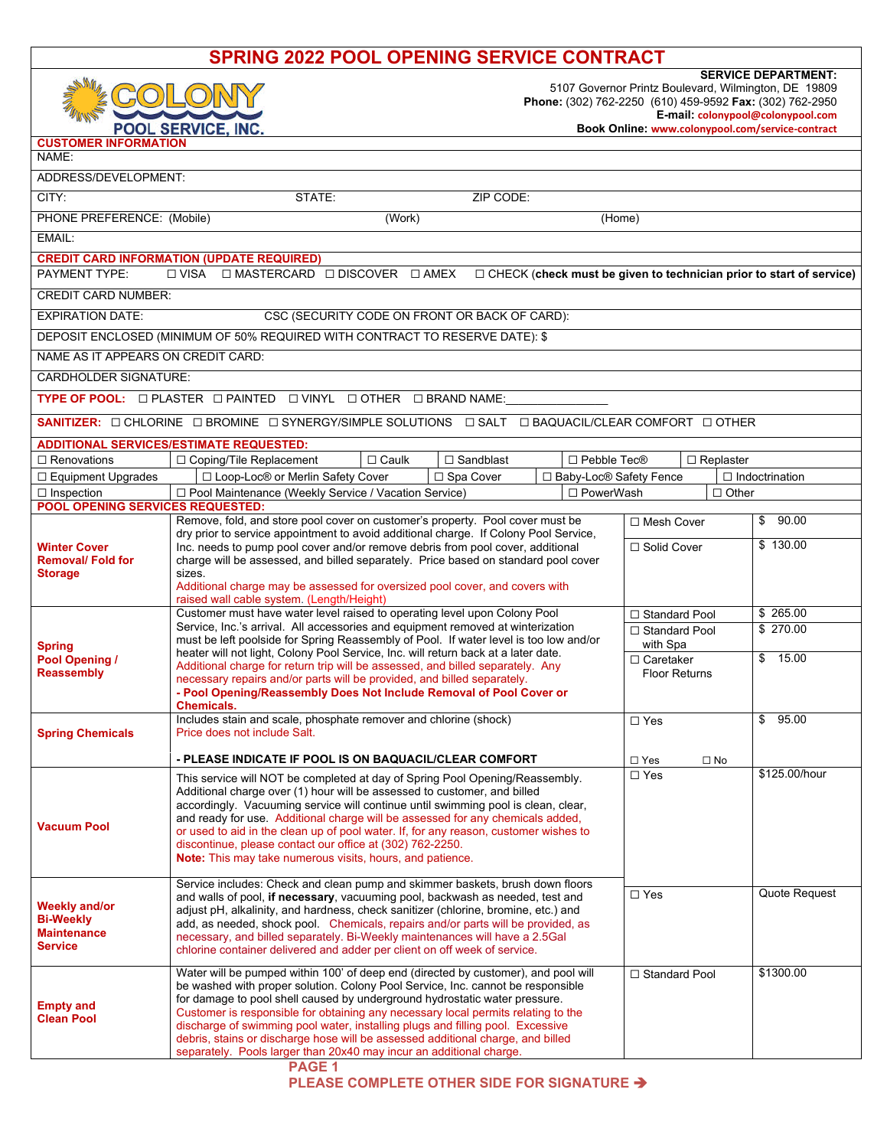| <b>SPRING 2022 POOL OPENING SERVICE CONTRACT</b>                                                                                                       |                                                                                                                                                                                                                                                                                                                                                                                                                                                                                                                                                                                                |                                                                                                                                                                                                                                         |                  |                       |
|--------------------------------------------------------------------------------------------------------------------------------------------------------|------------------------------------------------------------------------------------------------------------------------------------------------------------------------------------------------------------------------------------------------------------------------------------------------------------------------------------------------------------------------------------------------------------------------------------------------------------------------------------------------------------------------------------------------------------------------------------------------|-----------------------------------------------------------------------------------------------------------------------------------------------------------------------------------------------------------------------------------------|------------------|-----------------------|
|                                                                                                                                                        | POOL SERVICE, INC.                                                                                                                                                                                                                                                                                                                                                                                                                                                                                                                                                                             | <b>SERVICE DEPARTMENT:</b><br>5107 Governor Printz Boulevard, Wilmington, DE 19809<br>Phone: (302) 762-2250 (610) 459-9592 Fax: (302) 762-2950<br>E-mail: colonypool@colonypool.com<br>Book Online: www.colonypool.com/service-contract |                  |                       |
| <b>CUSTOMER INFORMATION</b><br>NAME:                                                                                                                   |                                                                                                                                                                                                                                                                                                                                                                                                                                                                                                                                                                                                |                                                                                                                                                                                                                                         |                  |                       |
| ADDRESS/DEVELOPMENT:                                                                                                                                   |                                                                                                                                                                                                                                                                                                                                                                                                                                                                                                                                                                                                |                                                                                                                                                                                                                                         |                  |                       |
| CITY:<br>ZIP CODE:<br>STATE:                                                                                                                           |                                                                                                                                                                                                                                                                                                                                                                                                                                                                                                                                                                                                |                                                                                                                                                                                                                                         |                  |                       |
| PHONE PREFERENCE: (Mobile)                                                                                                                             | (Work)                                                                                                                                                                                                                                                                                                                                                                                                                                                                                                                                                                                         | (Home)                                                                                                                                                                                                                                  |                  |                       |
| EMAIL:                                                                                                                                                 |                                                                                                                                                                                                                                                                                                                                                                                                                                                                                                                                                                                                |                                                                                                                                                                                                                                         |                  |                       |
|                                                                                                                                                        | <b>CREDIT CARD INFORMATION (UPDATE REQUIRED)</b>                                                                                                                                                                                                                                                                                                                                                                                                                                                                                                                                               |                                                                                                                                                                                                                                         |                  |                       |
| PAYMENT TYPE:<br>$\Box$ MASTERCARD $\Box$ DISCOVER $\Box$ AMEX<br>□ VISA<br>$\Box$ CHECK (check must be given to technician prior to start of service) |                                                                                                                                                                                                                                                                                                                                                                                                                                                                                                                                                                                                |                                                                                                                                                                                                                                         |                  |                       |
| <b>CREDIT CARD NUMBER:</b>                                                                                                                             |                                                                                                                                                                                                                                                                                                                                                                                                                                                                                                                                                                                                |                                                                                                                                                                                                                                         |                  |                       |
| <b>EXPIRATION DATE:</b><br>CSC (SECURITY CODE ON FRONT OR BACK OF CARD):                                                                               |                                                                                                                                                                                                                                                                                                                                                                                                                                                                                                                                                                                                |                                                                                                                                                                                                                                         |                  |                       |
| DEPOSIT ENCLOSED (MINIMUM OF 50% REQUIRED WITH CONTRACT TO RESERVE DATE): \$                                                                           |                                                                                                                                                                                                                                                                                                                                                                                                                                                                                                                                                                                                |                                                                                                                                                                                                                                         |                  |                       |
| NAME AS IT APPEARS ON CREDIT CARD:                                                                                                                     |                                                                                                                                                                                                                                                                                                                                                                                                                                                                                                                                                                                                |                                                                                                                                                                                                                                         |                  |                       |
| <b>CARDHOLDER SIGNATURE:</b>                                                                                                                           |                                                                                                                                                                                                                                                                                                                                                                                                                                                                                                                                                                                                |                                                                                                                                                                                                                                         |                  |                       |
| TYPE OF POOL: <b>DIPLASTER DIPAINTED DIVINYL DIGTHER DIBRAND NAME:</b>                                                                                 |                                                                                                                                                                                                                                                                                                                                                                                                                                                                                                                                                                                                |                                                                                                                                                                                                                                         |                  |                       |
| SANITIZER: O CHLORINE O BROMINE O SYNERGY/SIMPLE SOLUTIONS O SALT O BAQUACIL/CLEAR COMFORT O OTHER                                                     |                                                                                                                                                                                                                                                                                                                                                                                                                                                                                                                                                                                                |                                                                                                                                                                                                                                         |                  |                       |
| $\Box$ Renovations                                                                                                                                     | <b>ADDITIONAL SERVICES/ESTIMATE REQUESTED:</b><br>$\Box$ Sandblast<br>$\Box$ Caulk<br>□ Pebble Tec <sup>®</sup><br>$\Box$ Coping/Tile Replacement                                                                                                                                                                                                                                                                                                                                                                                                                                              |                                                                                                                                                                                                                                         | $\Box$ Replaster |                       |
| □ Equipment Upgrades                                                                                                                                   | □ Loop-Loc® or Merlin Safety Cover<br>□ Baby-Loc <sup>®</sup> Safety Fence<br>□ Spa Cover                                                                                                                                                                                                                                                                                                                                                                                                                                                                                                      |                                                                                                                                                                                                                                         |                  | $\Box$ Indoctrination |
| $\Box$ Inspection<br>□ Pool Maintenance (Weekly Service / Vacation Service)<br>□ PowerWash<br>$\Box$ Other                                             |                                                                                                                                                                                                                                                                                                                                                                                                                                                                                                                                                                                                |                                                                                                                                                                                                                                         |                  |                       |
| <b>POOL OPENING SERVICES REQUESTED:</b>                                                                                                                | Remove, fold, and store pool cover on customer's property. Pool cover must be                                                                                                                                                                                                                                                                                                                                                                                                                                                                                                                  | □ Mesh Cover                                                                                                                                                                                                                            |                  | \$90.00               |
| <b>Winter Cover</b><br><b>Removal/Fold for</b><br><b>Storage</b>                                                                                       | dry prior to service appointment to avoid additional charge. If Colony Pool Service,<br>Inc. needs to pump pool cover and/or remove debris from pool cover, additional<br>charge will be assessed, and billed separately. Price based on standard pool cover<br>sizes.<br>Additional charge may be assessed for oversized pool cover, and covers with<br>raised wall cable system. (Length/Height)                                                                                                                                                                                             | □ Solid Cover                                                                                                                                                                                                                           |                  | \$130.00              |
|                                                                                                                                                        | Customer must have water level raised to operating level upon Colony Pool                                                                                                                                                                                                                                                                                                                                                                                                                                                                                                                      | □ Standard Pool                                                                                                                                                                                                                         |                  | \$265.00              |
| <b>Spring</b><br>Pool Opening /<br><b>Reassembly</b>                                                                                                   | Service, Inc.'s arrival. All accessories and equipment removed at winterization<br>must be left poolside for Spring Reassembly of Pool. If water level is too low and/or<br>heater will not light, Colony Pool Service, Inc. will return back at a later date.<br>Additional charge for return trip will be assessed, and billed separately. Any<br>necessary repairs and/or parts will be provided, and billed separately.<br>- Pool Opening/Reassembly Does Not Include Removal of Pool Cover or<br><b>Chemicals.</b>                                                                        | □ Standard Pool<br>with Spa<br>□ Caretaker<br><b>Floor Returns</b>                                                                                                                                                                      |                  | \$270.00<br>\$ 15.00  |
| <b>Spring Chemicals</b>                                                                                                                                | Includes stain and scale, phosphate remover and chlorine (shock)<br>Price does not include Salt.                                                                                                                                                                                                                                                                                                                                                                                                                                                                                               | $\square$ Yes                                                                                                                                                                                                                           |                  | \$95.00               |
|                                                                                                                                                        |                                                                                                                                                                                                                                                                                                                                                                                                                                                                                                                                                                                                |                                                                                                                                                                                                                                         |                  |                       |
|                                                                                                                                                        | - PLEASE INDICATE IF POOL IS ON BAQUACIL/CLEAR COMFORT                                                                                                                                                                                                                                                                                                                                                                                                                                                                                                                                         | $\square$ Yes                                                                                                                                                                                                                           | $\square$ No     | \$125.00/hour         |
| <b>Vacuum Pool</b>                                                                                                                                     | This service will NOT be completed at day of Spring Pool Opening/Reassembly.<br>Additional charge over (1) hour will be assessed to customer, and billed<br>accordingly. Vacuuming service will continue until swimming pool is clean, clear,<br>and ready for use. Additional charge will be assessed for any chemicals added,<br>or used to aid in the clean up of pool water. If, for any reason, customer wishes to<br>discontinue, please contact our office at (302) 762-2250.<br>Note: This may take numerous visits, hours, and patience.                                              | $\square$ Yes                                                                                                                                                                                                                           |                  |                       |
| <b>Weekly and/or</b><br><b>Bi-Weekly</b><br><b>Maintenance</b><br><b>Service</b>                                                                       | Service includes: Check and clean pump and skimmer baskets, brush down floors<br>and walls of pool, if necessary, vacuuming pool, backwash as needed, test and<br>adjust pH, alkalinity, and hardness, check sanitizer (chlorine, bromine, etc.) and<br>add, as needed, shock pool. Chemicals, repairs and/or parts will be provided, as<br>necessary, and billed separately. Bi-Weekly maintenances will have a 2.5Gal<br>chlorine container delivered and adder per client on off week of service.                                                                                           | $\Box$ Yes                                                                                                                                                                                                                              |                  | Quote Request         |
| <b>Empty and</b><br><b>Clean Pool</b>                                                                                                                  | Water will be pumped within 100' of deep end (directed by customer), and pool will<br>be washed with proper solution. Colony Pool Service, Inc. cannot be responsible<br>for damage to pool shell caused by underground hydrostatic water pressure.<br>Customer is responsible for obtaining any necessary local permits relating to the<br>discharge of swimming pool water, installing plugs and filling pool. Excessive<br>debris, stains or discharge hose will be assessed additional charge, and billed<br>separately. Pools larger than 20x40 may incur an additional charge.<br>PAGE 1 | □ Standard Pool                                                                                                                                                                                                                         |                  | \$1300.00             |

**PLEASE COMPLETE OTHER SIDE FOR SIGNATURE**